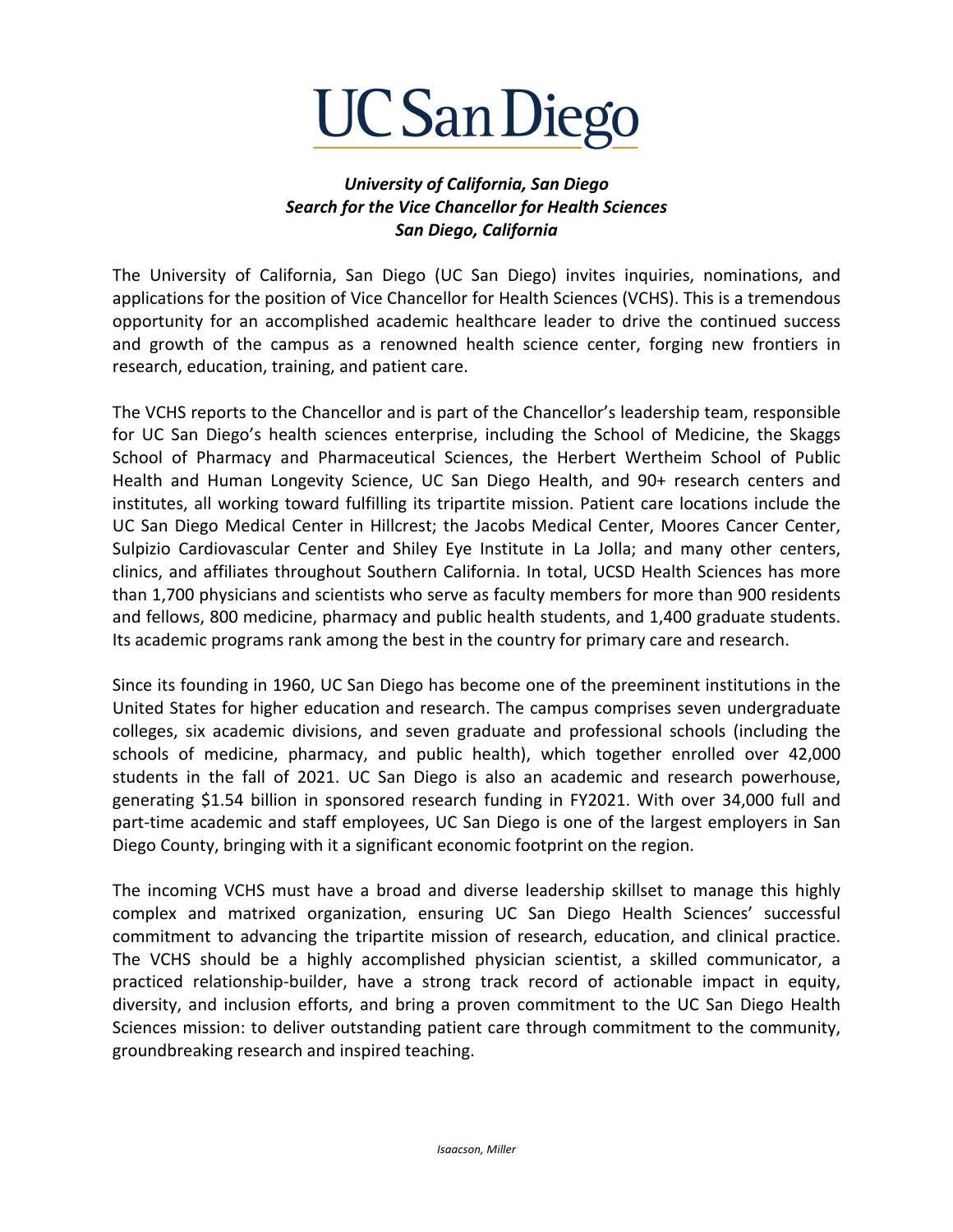

## *University of California, San Diego Search for the Vice Chancellor for Health Sciences San Diego, California*

The University of California, San Diego (UC San Diego) invites inquiries, nominations, and applications for the position of Vice Chancellor for Health Sciences (VCHS). This is a tremendous opportunity for an accomplished academic healthcare leader to drive the continued success and growth of the campus as a renowned health science center, forging new frontiers in research, education, training, and patient care.

The VCHS reports to the Chancellor and is part of the Chancellor's leadership team, responsible for UC San Diego's health sciences enterprise, including the School of Medicine, the Skaggs School of Pharmacy and Pharmaceutical Sciences, the Herbert Wertheim School of Public Health and Human Longevity Science, UC San Diego Health, and 90+ research centers and institutes, all working toward fulfilling its tripartite mission. Patient care locations include the UC San Diego Medical Center in Hillcrest; the Jacobs Medical Center, Moores Cancer Center, Sulpizio Cardiovascular Center and Shiley Eye Institute in La Jolla; and many other centers, clinics, and affiliates throughout Southern California. In total, UCSD Health Sciences has more than 1,700 physicians and scientists who serve as faculty members for more than 900 residents and fellows, 800 medicine, pharmacy and public health students, and 1,400 graduate students. Its academic programs rank among the best in the country for primary care and research.

Since its founding in 1960, UC San Diego has become one of the preeminent institutions in the United States for higher education and research. The campus comprises seven undergraduate colleges, six academic divisions, and seven graduate and professional schools (including the schools of medicine, pharmacy, and public health), which together enrolled over 42,000 students in the fall of 2021. UC San Diego is also an academic and research powerhouse, generating \$1.54 billion in sponsored research funding in FY2021. With over 34,000 full and part-time academic and staff employees, UC San Diego is one of the largest employers in San Diego County, bringing with it a significant economic footprint on the region.

The incoming VCHS must have a broad and diverse leadership skillset to manage this highly complex and matrixed organization, ensuring UC San Diego Health Sciences' successful commitment to advancing the tripartite mission of research, education, and clinical practice. The VCHS should be a highly accomplished physician scientist, a skilled communicator, a practiced relationship-builder, have a strong track record of actionable impact in equity, diversity, and inclusion efforts, and bring a proven commitment to the UC San Diego Health Sciences mission: to deliver outstanding patient care through commitment to the community, groundbreaking research and inspired teaching.